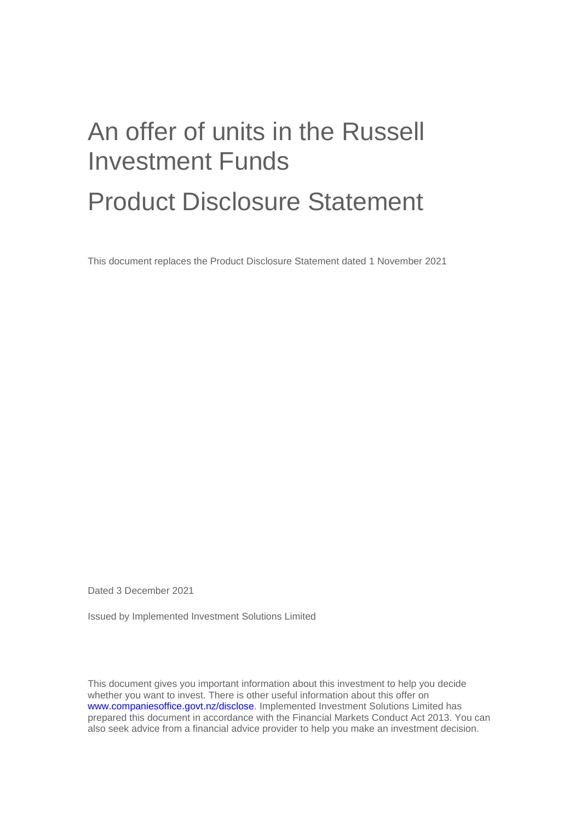# An offer of units in the Russell Investment Funds

# Product Disclosure Statement

This document replaces the Product Disclosure Statement dated 1 November 2021

Dated 3 December 2021

Issued by Implemented Investment Solutions Limited

This document gives you important information about this investment to help you decide whether you want to invest. There is other useful information about this offer on www.companiesoffice.govt.nz/disclose. Implemented Investment Solutions Limited has prepared this document in accordance with the Financial Markets Conduct Act 2013. You can also seek advice from a financial advice provider to help you make an investment decision.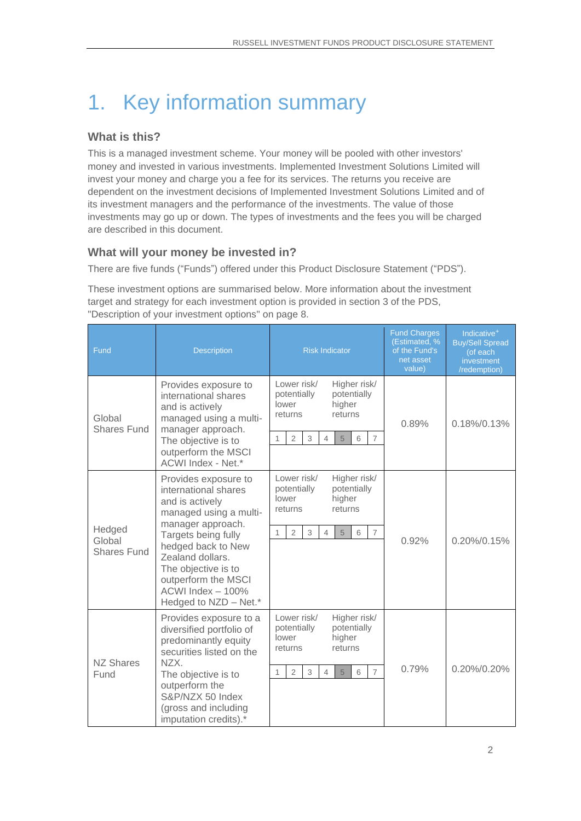# 1. Key information summary

#### **What is this?**

This is a managed investment scheme. Your money will be pooled with other investors' money and invested in various investments. Implemented Investment Solutions Limited will invest your money and charge you a fee for its services. The returns you receive are dependent on the investment decisions of Implemented Investment Solutions Limited and of its investment managers and the performance of the investments. The value of those investments may go up or down. The types of investments and the fees you will be charged are described in this document.

#### **What will your money be invested in?**

There are five funds ("Funds") offered under this Product Disclosure Statement ("PDS").

These investment options are summarised below. More information about the investment target and strategy for each investment option is provided in section [3](#page-7-0) of the PDS, ["Description of your investment options"](#page-7-0) on page [8.](#page-7-0)

| Fund                                   | <b>Description</b>                                                                                                                                                                                                                                                          | <b>Risk Indicator</b>                                                                                                                                                        | <b>Fund Charges</b><br>(Estimated, %<br>of the Fund's<br>net asset<br>value) | Indicative <sup>+</sup><br><b>Buy/Sell Spread</b><br>(of each<br>investment<br>/redemption) |
|----------------------------------------|-----------------------------------------------------------------------------------------------------------------------------------------------------------------------------------------------------------------------------------------------------------------------------|------------------------------------------------------------------------------------------------------------------------------------------------------------------------------|------------------------------------------------------------------------------|---------------------------------------------------------------------------------------------|
| Global<br><b>Shares Fund</b>           | Provides exposure to<br>international shares<br>and is actively<br>managed using a multi-<br>manager approach.<br>The objective is to<br>outperform the MSCI<br>ACWI Index - Net.*                                                                                          | Lower risk/<br>Higher risk/<br>potentially<br>potentially<br>higher<br>lower<br>returns<br>returns<br>3<br>$\overline{7}$<br>$\overline{2}$<br>$\overline{4}$<br>5<br>6<br>1 | 0.89%                                                                        | $0.18\%/0.13\%$                                                                             |
| Hedged<br>Global<br><b>Shares Fund</b> | Provides exposure to<br>international shares<br>and is actively<br>managed using a multi-<br>manager approach.<br>Targets being fully<br>hedged back to New<br>Zealand dollars.<br>The objective is to<br>outperform the MSCI<br>ACWI Index - 100%<br>Hedged to NZD - Net.* | Lower risk/<br>Higher risk/<br>potentially<br>potentially<br>higher<br>lower<br>returns<br>returns<br>$\overline{2}$<br>3<br>5<br>$\overline{7}$<br>$\overline{4}$<br>6<br>1 | 0.92%                                                                        | 0.20%/0.15%                                                                                 |
| <b>NZ Shares</b><br>Fund               | Provides exposure to a<br>diversified portfolio of<br>predominantly equity<br>securities listed on the<br>NZX.<br>The objective is to<br>outperform the<br>S&P/NZX 50 Index<br>(gross and including<br>imputation credits).*                                                | Lower risk/<br>Higher risk/<br>potentially<br>potentially<br>lower<br>higher<br>returns<br>returns<br>$\overline{7}$<br>$\overline{2}$<br>3<br>$\overline{4}$<br>6<br>1<br>5 | 0.79%                                                                        | 0.20%/0.20%                                                                                 |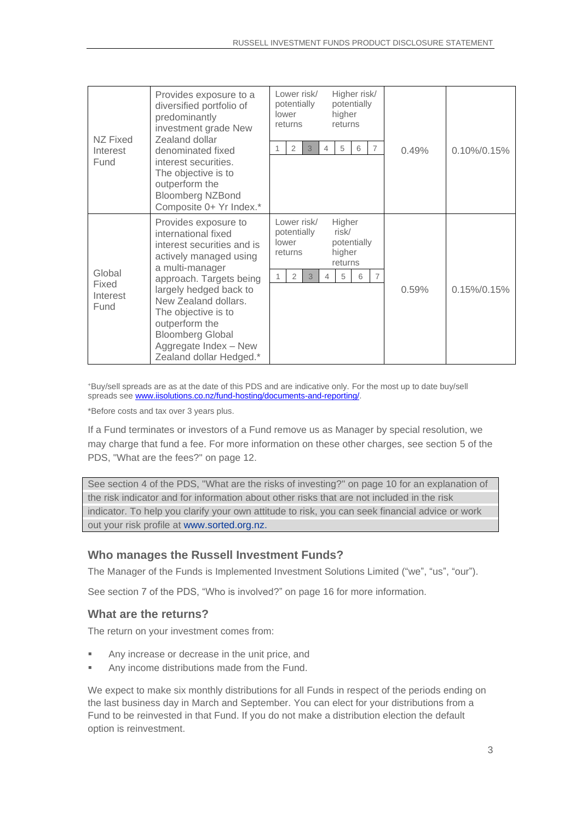| NZ Fixed<br>Interest<br>Fund        | Provides exposure to a<br>diversified portfolio of<br>predominantly<br>investment grade New<br>Zealand dollar<br>denominated fixed<br>interest securities.<br>The objective is to<br>outperform the<br><b>Bloomberg NZBond</b><br>Composite 0+ Yr Index.*                                                                   | Lower risk/<br>Higher risk/<br>potentially<br>potentially<br>higher<br>lower<br>returns<br>returns<br>$\overline{2}$<br>5<br>$\overline{7}$<br>3<br>6<br>4    | 0.49% | $0.10\%/0.15\%$ |
|-------------------------------------|-----------------------------------------------------------------------------------------------------------------------------------------------------------------------------------------------------------------------------------------------------------------------------------------------------------------------------|---------------------------------------------------------------------------------------------------------------------------------------------------------------|-------|-----------------|
| Global<br>Fixed<br>Interest<br>Fund | Provides exposure to<br>international fixed<br>interest securities and is<br>actively managed using<br>a multi-manager<br>approach. Targets being<br>largely hedged back to<br>New Zealand dollars.<br>The objective is to<br>outperform the<br><b>Bloomberg Global</b><br>Aggregate Index - New<br>Zealand dollar Hedged.* | Lower risk/<br>Higher<br>risk/<br>potentially<br>potentially<br>lower<br>higher<br>returns<br>returns<br>$\overline{2}$<br>3<br>5<br>$\overline{7}$<br>6<br>4 | 0.59% | $0.15\%/0.15\%$ |

<sup>+</sup>Buy/sell spreads are as at the date of this PDS and are indicative only. For the most up to date buy/sell spreads see [www.iisolutions.co.nz/fund-hosting/documents-and-reporting/.](http://www.iisolutions.co.nz/fund-hosting/documents-and-reporting/)

\*Before costs and tax over 3 years plus.

If a Fund terminates or investors of a Fund remove us as Manager by special resolution, we may charge that fund a fee. For more information on these other charges, see section [5](#page-11-0) of the PDS, ["What are the fees?"](#page-11-0) on page [12.](#page-11-0)

See section [4](#page-9-0) of the PDS, ["What are the risks of investing?"](#page-9-0) on page [10](#page-9-0) for an explanation of the risk indicator and for information about other risks that are not included in the risk indicator. To help you clarify your own attitude to risk, you can seek financial advice or work out your risk profile at [www.sorted.org.nz.](http://www.sorted.org.nz/)

#### **Who manages the Russell Investment Funds?**

The Manager of the Funds is Implemented Investment Solutions Limited ("we", "us", "our").

See section 7 of the PDS, "Who is involved?" on page [16](#page-15-0) for more information.

#### **What are the returns?**

The return on your investment comes from:

- Any increase or decrease in the unit price, and
- Any income distributions made from the Fund.

We expect to make six monthly distributions for all Funds in respect of the periods ending on the last business day in March and September. You can elect for your distributions from a Fund to be reinvested in that Fund. If you do not make a distribution election the default option is reinvestment.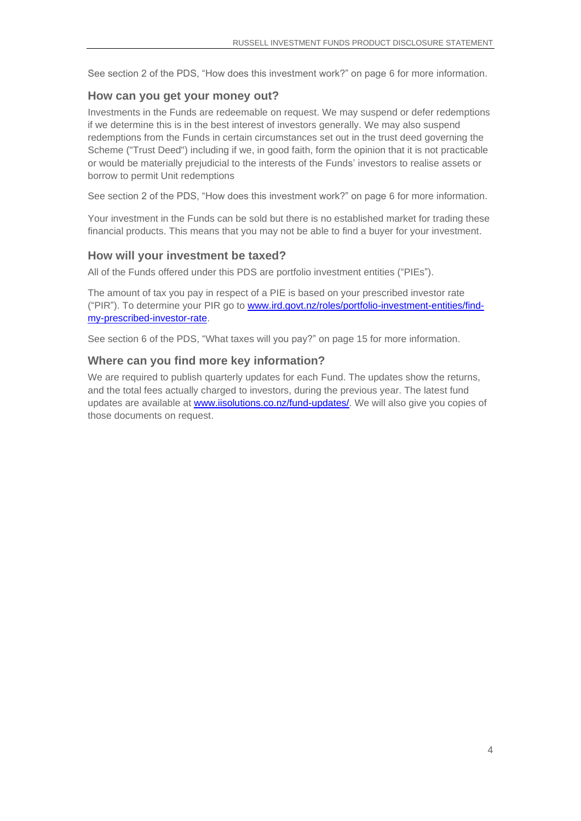See section 2 of the PDS, "How does this investment work?" on page [6](#page-5-0) for more information.

#### **How can you get your money out?**

Investments in the Funds are redeemable on request. We may suspend or defer redemptions if we determine this is in the best interest of investors generally. We may also suspend redemptions from the Funds in certain circumstances set out in the trust deed governing the Scheme ("Trust Deed") including if we, in good faith, form the opinion that it is not practicable or would be materially prejudicial to the interests of the Funds' investors to realise assets or borrow to permit Unit redemptions

See section 2 of the PDS, "How does this investment work?" on page [6](#page-5-0) for more information.

Your investment in the Funds can be sold but there is no established market for trading these financial products. This means that you may not be able to find a buyer for your investment.

#### **How will your investment be taxed?**

All of the Funds offered under this PDS are portfolio investment entities ("PIEs").

The amount of tax you pay in respect of a PIE is based on your prescribed investor rate ("PIR"). To determine your PIR go to www.ird.govt.nz/roles/portfolio-investment-entities/findmy-prescribed-investor-rate.

See section 6 of the PDS, "What taxes will you pay?" on page [15](#page-14-0) for more information.

#### **Where can you find more key information?**

We are required to publish quarterly updates for each Fund. The updates show the returns, and the total fees actually charged to investors, during the previous year. The latest fund updates are available at [www.iisolutions.co.nz/fund-updates/.](http://www.iisolutions.co.nz/fund-updates/) We will also give you copies of those documents on request.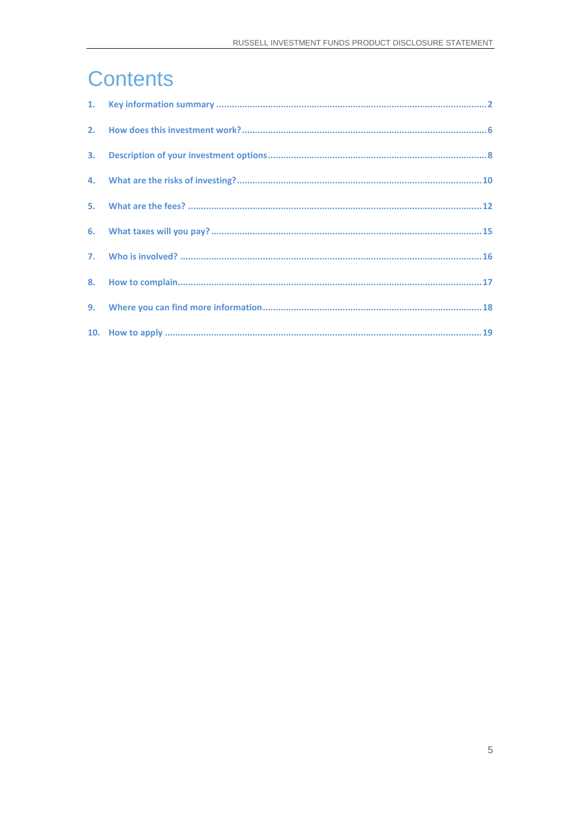# **Contents**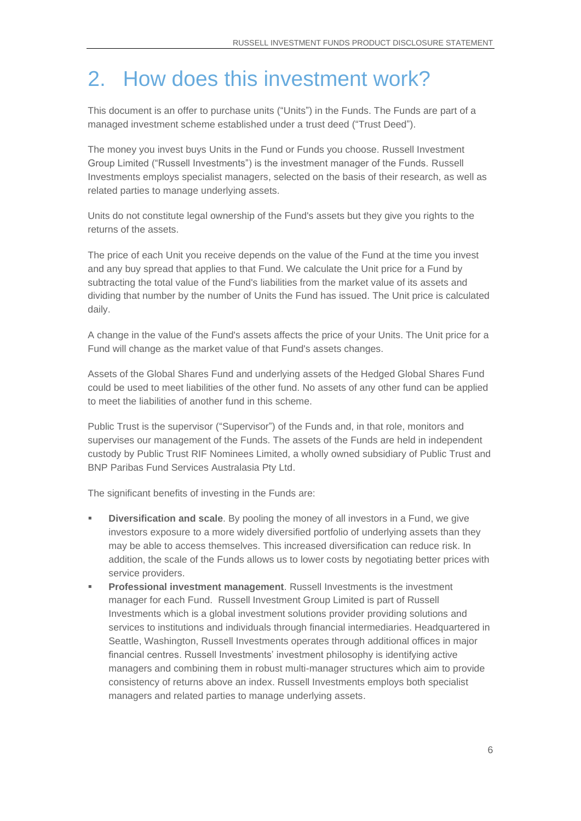### <span id="page-5-0"></span>2. How does this investment work?

This document is an offer to purchase units ("Units") in the Funds. The Funds are part of a managed investment scheme established under a trust deed ("Trust Deed").

The money you invest buys Units in the Fund or Funds you choose. Russell Investment Group Limited ("Russell Investments") is the investment manager of the Funds. Russell Investments employs specialist managers, selected on the basis of their research, as well as related parties to manage underlying assets.

Units do not constitute legal ownership of the Fund's assets but they give you rights to the returns of the assets.

The price of each Unit you receive depends on the value of the Fund at the time you invest and any buy spread that applies to that Fund. We calculate the Unit price for a Fund by subtracting the total value of the Fund's liabilities from the market value of its assets and dividing that number by the number of Units the Fund has issued. The Unit price is calculated daily.

A change in the value of the Fund's assets affects the price of your Units. The Unit price for a Fund will change as the market value of that Fund's assets changes.

Assets of the Global Shares Fund and underlying assets of the Hedged Global Shares Fund could be used to meet liabilities of the other fund. No assets of any other fund can be applied to meet the liabilities of another fund in this scheme.

Public Trust is the supervisor ("Supervisor") of the Funds and, in that role, monitors and supervises our management of the Funds. The assets of the Funds are held in independent custody by Public Trust RIF Nominees Limited, a wholly owned subsidiary of Public Trust and BNP Paribas Fund Services Australasia Pty Ltd.

The significant benefits of investing in the Funds are:

- **Diversification and scale**. By pooling the money of all investors in a Fund, we give investors exposure to a more widely diversified portfolio of underlying assets than they may be able to access themselves. This increased diversification can reduce risk. In addition, the scale of the Funds allows us to lower costs by negotiating better prices with service providers.
- **Professional investment management**. Russell Investments is the investment manager for each Fund. Russell Investment Group Limited is part of Russell Investments which is a global investment solutions provider providing solutions and services to institutions and individuals through financial intermediaries. Headquartered in Seattle, Washington, Russell Investments operates through additional offices in major financial centres. Russell Investments' investment philosophy is identifying active managers and combining them in robust multi-manager structures which aim to provide consistency of returns above an index. Russell Investments employs both specialist managers and related parties to manage underlying assets.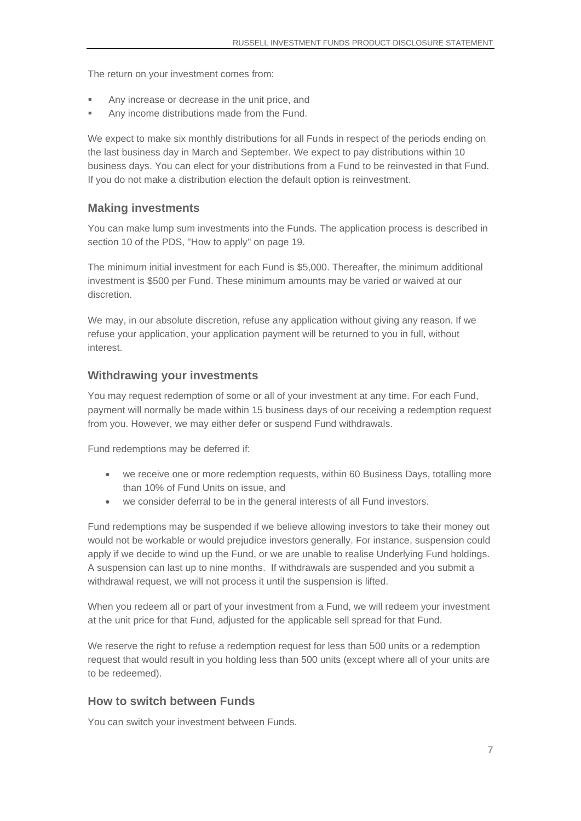The return on your investment comes from:

- Any increase or decrease in the unit price, and
- Any income distributions made from the Fund.

We expect to make six monthly distributions for all Funds in respect of the periods ending on the last business day in March and September. We expect to pay distributions within 10 business days. You can elect for your distributions from a Fund to be reinvested in that Fund. If you do not make a distribution election the default option is reinvestment.

#### **Making investments**

You can make lump sum investments into the Funds. The application process is described in section [10](#page-18-0) of the PDS, ["How to apply"](#page-18-0) on page [19.](#page-18-0)

The minimum initial investment for each Fund is \$5,000. Thereafter, the minimum additional investment is \$500 per Fund. These minimum amounts may be varied or waived at our discretion.

We may, in our absolute discretion, refuse any application without giving any reason. If we refuse your application, your application payment will be returned to you in full, without interest.

#### **Withdrawing your investments**

You may request redemption of some or all of your investment at any time. For each Fund, payment will normally be made within 15 business days of our receiving a redemption request from you. However, we may either defer or suspend Fund withdrawals.

Fund redemptions may be deferred if:

- we receive one or more redemption requests, within 60 Business Days, totalling more than 10% of Fund Units on issue, and
- we consider deferral to be in the general interests of all Fund investors.

Fund redemptions may be suspended if we believe allowing investors to take their money out would not be workable or would prejudice investors generally. For instance, suspension could apply if we decide to wind up the Fund, or we are unable to realise Underlying Fund holdings. A suspension can last up to nine months. If withdrawals are suspended and you submit a withdrawal request, we will not process it until the suspension is lifted.

When you redeem all or part of your investment from a Fund, we will redeem your investment at the unit price for that Fund, adjusted for the applicable sell spread for that Fund.

We reserve the right to refuse a redemption request for less than 500 units or a redemption request that would result in you holding less than 500 units (except where all of your units are to be redeemed).

#### **How to switch between Funds**

You can switch your investment between Funds.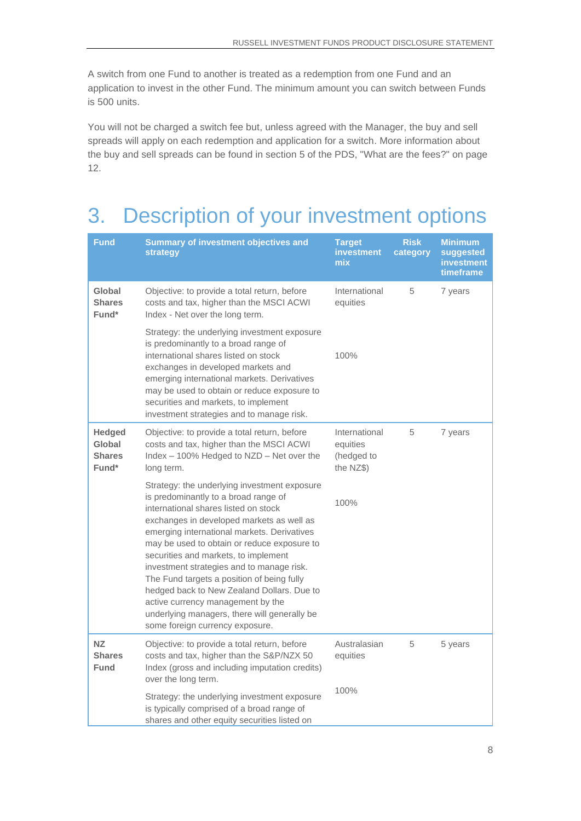A switch from one Fund to another is treated as a redemption from one Fund and an application to invest in the other Fund. The minimum amount you can switch between Funds is 500 units.

You will not be charged a switch fee but, unless agreed with the Manager, the buy and sell spreads will apply on each redemption and application for a switch. More information about the buy and sell spreads can be found in section [5](#page-11-0) of the PDS, ["What are the fees?"](#page-11-0) on page [12.](#page-11-0)

# <span id="page-7-0"></span>3. Description of your investment options

| Fund                                              | <b>Summary of investment objectives and</b><br>strategy                                                                                                                                                                                                                                                                                                                                                                                                                                                                                                                          | <b>Target</b><br>investment<br>mix                   | <b>Risk</b><br>category | <b>Minimum</b><br>suggested<br>investment<br>timeframe |
|---------------------------------------------------|----------------------------------------------------------------------------------------------------------------------------------------------------------------------------------------------------------------------------------------------------------------------------------------------------------------------------------------------------------------------------------------------------------------------------------------------------------------------------------------------------------------------------------------------------------------------------------|------------------------------------------------------|-------------------------|--------------------------------------------------------|
| Global<br><b>Shares</b><br>Fund*                  | Objective: to provide a total return, before<br>costs and tax, higher than the MSCI ACWI<br>Index - Net over the long term.                                                                                                                                                                                                                                                                                                                                                                                                                                                      | International<br>equities                            | 5                       | 7 years                                                |
|                                                   | Strategy: the underlying investment exposure<br>is predominantly to a broad range of<br>international shares listed on stock<br>exchanges in developed markets and<br>emerging international markets. Derivatives<br>may be used to obtain or reduce exposure to<br>securities and markets, to implement<br>investment strategies and to manage risk.                                                                                                                                                                                                                            | 100%                                                 |                         |                                                        |
| <b>Hedged</b><br>Global<br><b>Shares</b><br>Fund* | Objective: to provide a total return, before<br>costs and tax, higher than the MSCI ACWI<br>Index - 100% Hedged to NZD - Net over the<br>long term.                                                                                                                                                                                                                                                                                                                                                                                                                              | International<br>equities<br>(hedged to<br>the NZ\$) | 5                       | 7 years                                                |
|                                                   | Strategy: the underlying investment exposure<br>is predominantly to a broad range of<br>international shares listed on stock<br>exchanges in developed markets as well as<br>emerging international markets. Derivatives<br>may be used to obtain or reduce exposure to<br>securities and markets, to implement<br>investment strategies and to manage risk.<br>The Fund targets a position of being fully<br>hedged back to New Zealand Dollars. Due to<br>active currency management by the<br>underlying managers, there will generally be<br>some foreign currency exposure. | 100%                                                 |                         |                                                        |
| <b>NZ</b><br><b>Shares</b><br>Fund                | Objective: to provide a total return, before<br>costs and tax, higher than the S&P/NZX 50<br>Index (gross and including imputation credits)<br>over the long term.                                                                                                                                                                                                                                                                                                                                                                                                               | Australasian<br>equities                             | 5                       | 5 years                                                |
|                                                   | Strategy: the underlying investment exposure<br>is typically comprised of a broad range of<br>shares and other equity securities listed on                                                                                                                                                                                                                                                                                                                                                                                                                                       | 100%                                                 |                         |                                                        |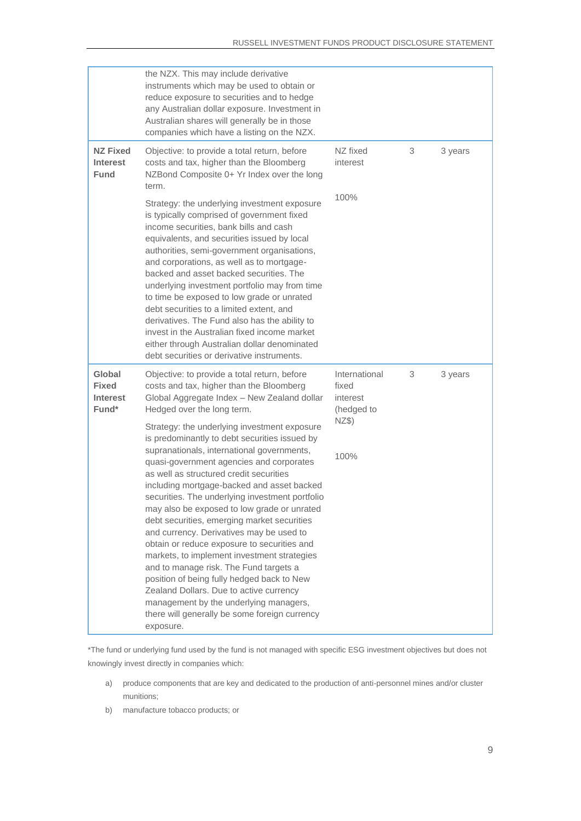|                                                    | the NZX. This may include derivative<br>instruments which may be used to obtain or<br>reduce exposure to securities and to hedge<br>any Australian dollar exposure. Investment in<br>Australian shares will generally be in those<br>companies which have a listing on the NZX.                                                                                                                                                                                                                                                                                                                                                                                                                                                                                                                                        |                                                  |   |         |
|----------------------------------------------------|------------------------------------------------------------------------------------------------------------------------------------------------------------------------------------------------------------------------------------------------------------------------------------------------------------------------------------------------------------------------------------------------------------------------------------------------------------------------------------------------------------------------------------------------------------------------------------------------------------------------------------------------------------------------------------------------------------------------------------------------------------------------------------------------------------------------|--------------------------------------------------|---|---------|
| <b>NZ Fixed</b><br><b>Interest</b><br>Fund         | Objective: to provide a total return, before<br>costs and tax, higher than the Bloomberg<br>NZBond Composite 0+ Yr Index over the long<br>term.                                                                                                                                                                                                                                                                                                                                                                                                                                                                                                                                                                                                                                                                        | NZ fixed<br>interest                             | 3 | 3 years |
|                                                    | Strategy: the underlying investment exposure<br>is typically comprised of government fixed<br>income securities, bank bills and cash<br>equivalents, and securities issued by local<br>authorities, semi-government organisations,<br>and corporations, as well as to mortgage-<br>backed and asset backed securities. The<br>underlying investment portfolio may from time<br>to time be exposed to low grade or unrated<br>debt securities to a limited extent, and<br>derivatives. The Fund also has the ability to<br>invest in the Australian fixed income market<br>either through Australian dollar denominated<br>debt securities or derivative instruments.                                                                                                                                                   | 100%                                             |   |         |
| Global<br><b>Fixed</b><br><b>Interest</b><br>Fund* | Objective: to provide a total return, before<br>costs and tax, higher than the Bloomberg<br>Global Aggregate Index - New Zealand dollar<br>Hedged over the long term.                                                                                                                                                                                                                                                                                                                                                                                                                                                                                                                                                                                                                                                  | International<br>fixed<br>interest<br>(hedged to | 3 | 3 years |
|                                                    | Strategy: the underlying investment exposure<br>is predominantly to debt securities issued by<br>supranationals, international governments,<br>quasi-government agencies and corporates<br>as well as structured credit securities<br>including mortgage-backed and asset backed<br>securities. The underlying investment portfolio<br>may also be exposed to low grade or unrated<br>debt securities, emerging market securities<br>and currency. Derivatives may be used to<br>obtain or reduce exposure to securities and<br>markets, to implement investment strategies<br>and to manage risk. The Fund targets a<br>position of being fully hedged back to New<br>Zealand Dollars. Due to active currency<br>management by the underlying managers,<br>there will generally be some foreign currency<br>exposure. | NZ\$)<br>100%                                    |   |         |

\*The fund or underlying fund used by the fund is not managed with specific ESG investment objectives but does not knowingly invest directly in companies which:

- a) produce components that are key and dedicated to the production of anti-personnel mines and/or cluster munitions;
- b) manufacture tobacco products; or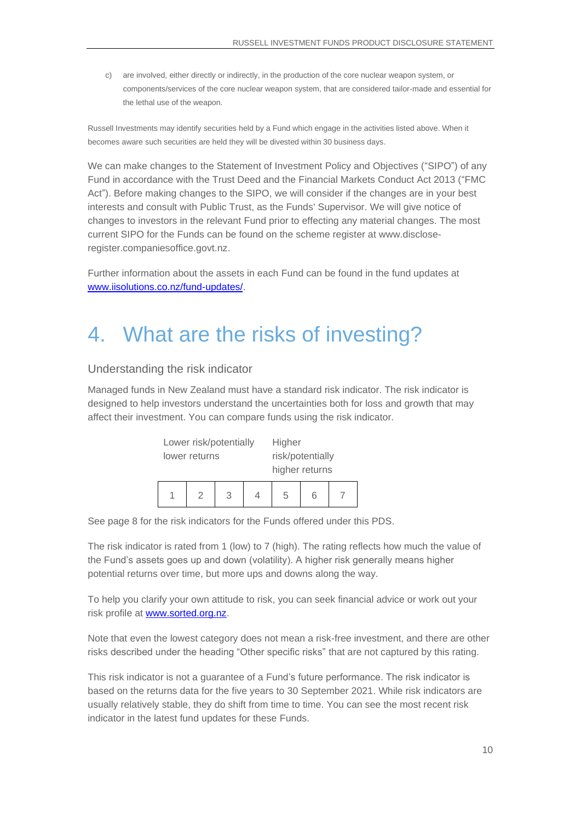c) are involved, either directly or indirectly, in the production of the core nuclear weapon system, or components/services of the core nuclear weapon system, that are considered tailor-made and essential for the lethal use of the weapon.

Russell Investments may identify securities held by a Fund which engage in the activities listed above. When it becomes aware such securities are held they will be divested within 30 business days.

We can make changes to the Statement of Investment Policy and Objectives ("SIPO") of any Fund in accordance with the Trust Deed and the Financial Markets Conduct Act 2013 ("FMC Act"). Before making changes to the SIPO, we will consider if the changes are in your best interests and consult with Public Trust, as the Funds' Supervisor. We will give notice of changes to investors in the relevant Fund prior to effecting any material changes. The most current SIPO for the Funds can be found on the scheme register at [www.disclose](http://www.disclose-register.companiesoffice.govt.nz/)[register.companiesoffice.govt.nz.](http://www.disclose-register.companiesoffice.govt.nz/)

Further information about the assets in each Fund can be found in the fund updates at [www.iisolutions.co.nz/fund-updates/.](http://www.iisolutions.co.nz/fund-updates/)

# <span id="page-9-0"></span>4. What are the risks of investing?

#### Understanding the risk indicator

Managed funds in New Zealand must have a standard risk indicator. The risk indicator is designed to help investors understand the uncertainties both for loss and growth that may affect their investment. You can compare funds using the risk indicator.

| Lower risk/potentially |   |   | Higher           |   |  |
|------------------------|---|---|------------------|---|--|
| lower returns          |   |   | risk/potentially |   |  |
|                        |   |   | higher returns   |   |  |
|                        | 2 | 3 | 5                | 6 |  |

See page 8 for the risk indicators for the Funds offered under this PDS.

The risk indicator is rated from 1 (low) to 7 (high). The rating reflects how much the value of the Fund's assets goes up and down (volatility). A higher risk generally means higher potential returns over time, but more ups and downs along the way.

To help you clarify your own attitude to risk, you can seek financial advice or work out your risk profile at [www.sorted.org.nz.](http://www.sorted.org.nz/)

Note that even the lowest category does not mean a risk-free investment, and there are other risks described under the heading "Other specific risks" that are not captured by this rating.

This risk indicator is not a guarantee of a Fund's future performance. The risk indicator is based on the returns data for the five years to 30 September 2021. While risk indicators are usually relatively stable, they do shift from time to time. You can see the most recent risk indicator in the latest fund updates for these Funds.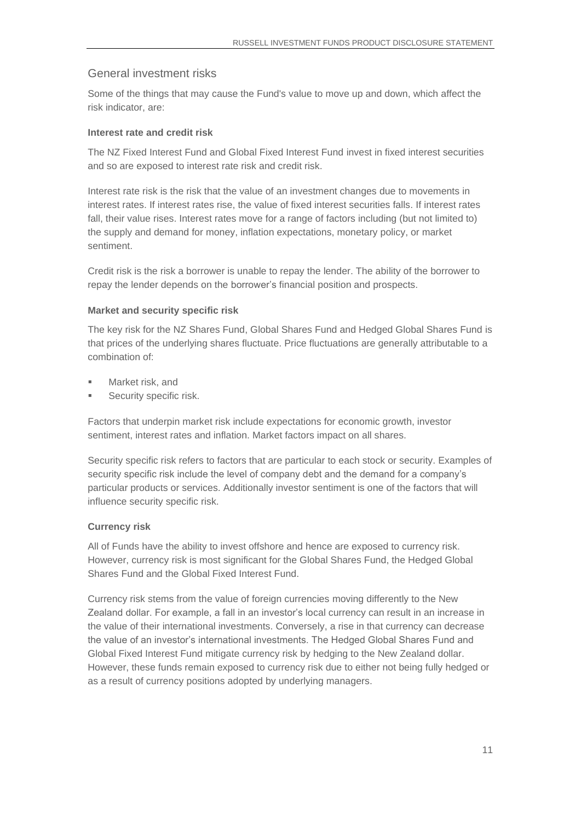#### General investment risks

Some of the things that may cause the Fund's value to move up and down, which affect the risk indicator, are:

#### **Interest rate and credit risk**

The NZ Fixed Interest Fund and Global Fixed Interest Fund invest in fixed interest securities and so are exposed to interest rate risk and credit risk.

Interest rate risk is the risk that the value of an investment changes due to movements in interest rates. If interest rates rise, the value of fixed interest securities falls. If interest rates fall, their value rises. Interest rates move for a range of factors including (but not limited to) the supply and demand for money, inflation expectations, monetary policy, or market sentiment.

Credit risk is the risk a borrower is unable to repay the lender. The ability of the borrower to repay the lender depends on the borrower's financial position and prospects.

#### **Market and security specific risk**

The key risk for the NZ Shares Fund, Global Shares Fund and Hedged Global Shares Fund is that prices of the underlying shares fluctuate. Price fluctuations are generally attributable to a combination of:

- Market risk, and
- Security specific risk.

Factors that underpin market risk include expectations for economic growth, investor sentiment, interest rates and inflation. Market factors impact on all shares.

Security specific risk refers to factors that are particular to each stock or security. Examples of security specific risk include the level of company debt and the demand for a company's particular products or services. Additionally investor sentiment is one of the factors that will influence security specific risk.

#### **Currency risk**

All of Funds have the ability to invest offshore and hence are exposed to currency risk. However, currency risk is most significant for the Global Shares Fund, the Hedged Global Shares Fund and the Global Fixed Interest Fund.

Currency risk stems from the value of foreign currencies moving differently to the New Zealand dollar. For example, a fall in an investor's local currency can result in an increase in the value of their international investments. Conversely, a rise in that currency can decrease the value of an investor's international investments. The Hedged Global Shares Fund and Global Fixed Interest Fund mitigate currency risk by hedging to the New Zealand dollar. However, these funds remain exposed to currency risk due to either not being fully hedged or as a result of currency positions adopted by underlying managers.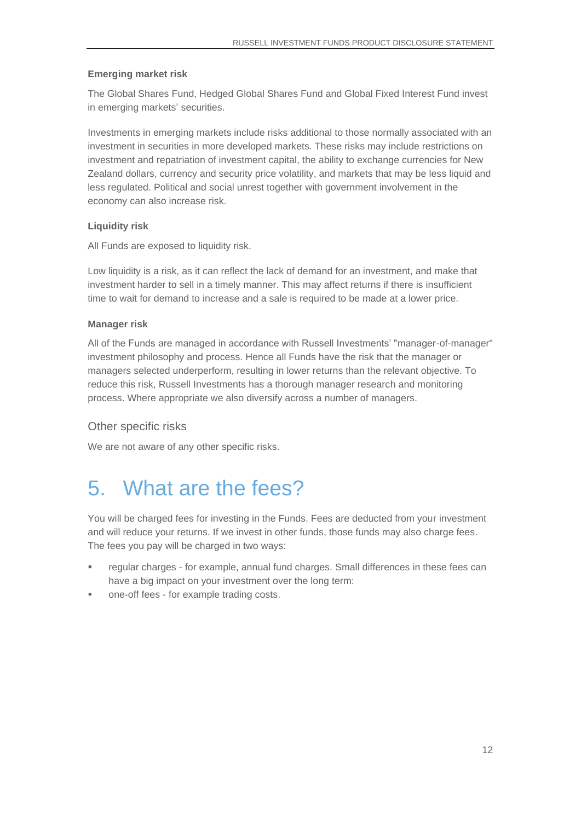#### **Emerging market risk**

The Global Shares Fund, Hedged Global Shares Fund and Global Fixed Interest Fund invest in emerging markets' securities.

Investments in emerging markets include risks additional to those normally associated with an investment in securities in more developed markets. These risks may include restrictions on investment and repatriation of investment capital, the ability to exchange currencies for New Zealand dollars, currency and security price volatility, and markets that may be less liquid and less regulated. Political and social unrest together with government involvement in the economy can also increase risk.

#### **Liquidity risk**

All Funds are exposed to liquidity risk.

Low liquidity is a risk, as it can reflect the lack of demand for an investment, and make that investment harder to sell in a timely manner. This may affect returns if there is insufficient time to wait for demand to increase and a sale is required to be made at a lower price.

#### **Manager risk**

All of the Funds are managed in accordance with Russell Investments' "manager-of-manager" investment philosophy and process. Hence all Funds have the risk that the manager or managers selected underperform, resulting in lower returns than the relevant objective. To reduce this risk, Russell Investments has a thorough manager research and monitoring process. Where appropriate we also diversify across a number of managers.

#### Other specific risks

<span id="page-11-0"></span>We are not aware of any other specific risks.

### 5. What are the fees?

You will be charged fees for investing in the Funds. Fees are deducted from your investment and will reduce your returns. If we invest in other funds, those funds may also charge fees. The fees you pay will be charged in two ways:

- regular charges for example, annual fund charges. Small differences in these fees can have a big impact on your investment over the long term:
- one-off fees for example trading costs.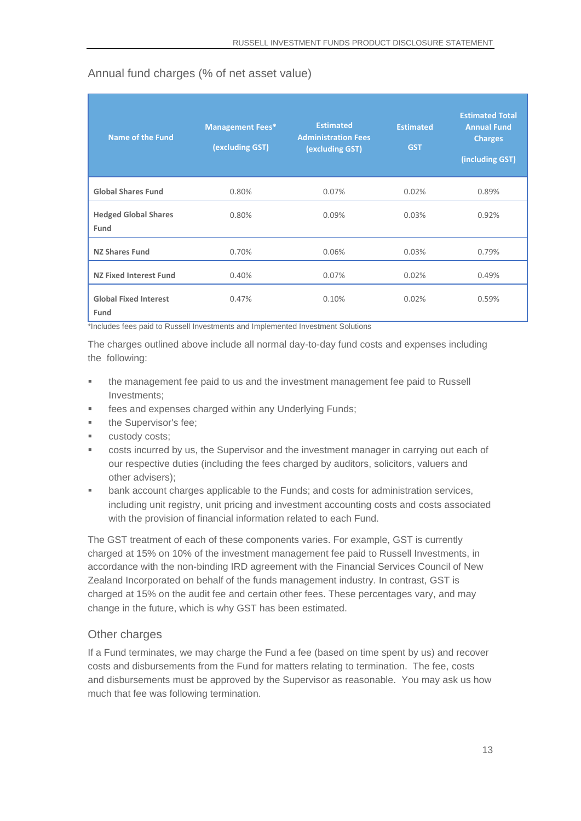| <b>Name of the Fund</b>              | <b>Management Fees*</b><br>(excluding GST) | <b>Estimated</b><br><b>Administration Fees</b><br>(excluding GST) | <b>Estimated</b><br><b>GST</b> | <b>Estimated Total</b><br><b>Annual Fund</b><br><b>Charges</b><br>(including GST) |
|--------------------------------------|--------------------------------------------|-------------------------------------------------------------------|--------------------------------|-----------------------------------------------------------------------------------|
| <b>Global Shares Fund</b>            | 0.80%                                      | 0.07%                                                             | 0.02%                          | 0.89%                                                                             |
| <b>Hedged Global Shares</b><br>Fund  | 0.80%                                      | 0.09%                                                             | 0.03%                          | 0.92%                                                                             |
| <b>NZ Shares Fund</b>                | 0.70%                                      | 0.06%                                                             | 0.03%                          | 0.79%                                                                             |
| <b>NZ Fixed Interest Fund</b>        | 0.40%                                      | 0.07%                                                             | 0.02%                          | 0.49%                                                                             |
| <b>Global Fixed Interest</b><br>Fund | 0.47%                                      | 0.10%                                                             | 0.02%                          | 0.59%                                                                             |

#### Annual fund charges (% of net asset value)

\*Includes fees paid to Russell Investments and Implemented Investment Solutions

The charges outlined above include all normal day-to-day fund costs and expenses including the following:

- **•** the management fee paid to us and the investment management fee paid to Russell Investments;
- fees and expenses charged within any Underlying Funds;
- the Supervisor's fee;
- custody costs;
- costs incurred by us, the Supervisor and the investment manager in carrying out each of our respective duties (including the fees charged by auditors, solicitors, valuers and other advisers);
- bank account charges applicable to the Funds; and costs for administration services, including unit registry, unit pricing and investment accounting costs and costs associated with the provision of financial information related to each Fund.

The GST treatment of each of these components varies. For example, GST is currently charged at 15% on 10% of the investment management fee paid to Russell Investments, in accordance with the non-binding IRD agreement with the Financial Services Council of New Zealand Incorporated on behalf of the funds management industry. In contrast, GST is charged at 15% on the audit fee and certain other fees. These percentages vary, and may change in the future, which is why GST has been estimated.

#### Other charges

If a Fund terminates, we may charge the Fund a fee (based on time spent by us) and recover costs and disbursements from the Fund for matters relating to termination. The fee, costs and disbursements must be approved by the Supervisor as reasonable. You may ask us how much that fee was following termination.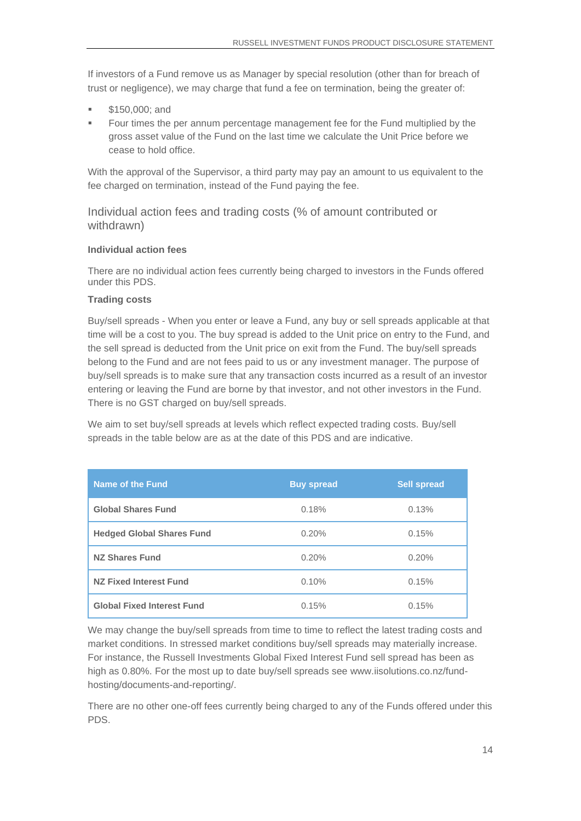If investors of a Fund remove us as Manager by special resolution (other than for breach of trust or negligence), we may charge that fund a fee on termination, being the greater of:

- \$150,000; and
- Four times the per annum percentage management fee for the Fund multiplied by the gross asset value of the Fund on the last time we calculate the Unit Price before we cease to hold office.

With the approval of the Supervisor, a third party may pay an amount to us equivalent to the fee charged on termination, instead of the Fund paying the fee.

Individual action fees and trading costs (% of amount contributed or withdrawn)

#### **Individual action fees**

There are no individual action fees currently being charged to investors in the Funds offered under this PDS.

#### **Trading costs**

Buy/sell spreads - When you enter or leave a Fund, any buy or sell spreads applicable at that time will be a cost to you. The buy spread is added to the Unit price on entry to the Fund, and the sell spread is deducted from the Unit price on exit from the Fund. The buy/sell spreads belong to the Fund and are not fees paid to us or any investment manager. The purpose of buy/sell spreads is to make sure that any transaction costs incurred as a result of an investor entering or leaving the Fund are borne by that investor, and not other investors in the Fund. There is no GST charged on buy/sell spreads.

We aim to set buy/sell spreads at levels which reflect expected trading costs. Buy/sell spreads in the table below are as at the date of this PDS and are indicative.

| Name of the Fund                  | <b>Buy spread</b> | <b>Sell spread</b> |
|-----------------------------------|-------------------|--------------------|
| <b>Global Shares Fund</b>         | 0.18%             | 0.13%              |
| <b>Hedged Global Shares Fund</b>  | 0.20%             | 0.15%              |
| <b>NZ Shares Fund</b>             | 0.20%             | 0.20%              |
| <b>NZ Fixed Interest Fund</b>     | 0.10%             | 0.15%              |
| <b>Global Fixed Interest Fund</b> | 0.15%             | 0.15%              |

We may change the buy/sell spreads from time to time to reflect the latest trading costs and market conditions. In stressed market conditions buy/sell spreads may materially increase. For instance, the Russell Investments Global Fixed Interest Fund sell spread has been as high as 0.80%. For the most up to date buy/sell spreads see [www.iisolutions.co.nz/fund](http://www.iisolutions.co.nz/fund-hosting/documents-and-reporting/)[hosting/documents-and-reporting/.](http://www.iisolutions.co.nz/fund-hosting/documents-and-reporting/)

There are no other one-off fees currently being charged to any of the Funds offered under this PDS.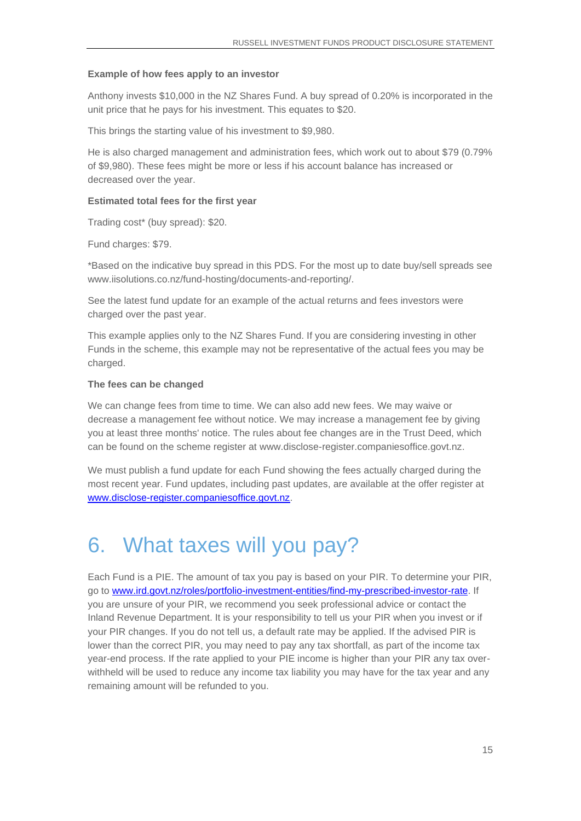#### **Example of how fees apply to an investor**

Anthony invests \$10,000 in the NZ Shares Fund. A buy spread of 0.20% is incorporated in the unit price that he pays for his investment. This equates to \$20.

This brings the starting value of his investment to \$9,980.

He is also charged management and administration fees, which work out to about \$79 (0.79% of \$9,980). These fees might be more or less if his account balance has increased or decreased over the year.

#### **Estimated total fees for the first year**

Trading cost\* (buy spread): \$20.

Fund charges: \$79.

\*Based on the indicative buy spread in this PDS. For the most up to date buy/sell spreads see [www.iisolutions.co.nz/fund-hosting/documents-and-reporting/.](http://www.iisolutions.co.nz/fund-hosting/documents-and-reporting/)

See the latest fund update for an example of the actual returns and fees investors were charged over the past year.

This example applies only to the NZ Shares Fund. If you are considering investing in other Funds in the scheme, this example may not be representative of the actual fees you may be charged.

#### **The fees can be changed**

We can change fees from time to time. We can also add new fees. We may waive or decrease a management fee without notice. We may increase a management fee by giving you at least three months' notice. The rules about fee changes are in the Trust Deed, which can be found on the scheme register at [www.disclose-register.companiesoffice.govt.nz.](http://www.disclose-register.companiesoffice.govt.nz/)

We must publish a fund update for each Fund showing the fees actually charged during the most recent year. Fund updates, including past updates, are available at the offer register at [www.disclose-register.companiesoffice.govt.nz.](http://www.disclose-register.companiesoffice.govt.nz/)

### <span id="page-14-0"></span>6. What taxes will you pay?

Each Fund is a PIE. The amount of tax you pay is based on your PIR. To determine your PIR, go to www.ird.govt.nz/roles/portfolio-investment-entities/find-my-prescribed-investor-rate. If you are unsure of your PIR, we recommend you seek professional advice or contact the Inland Revenue Department. It is your responsibility to tell us your PIR when you invest or if your PIR changes. If you do not tell us, a default rate may be applied. If the advised PIR is lower than the correct PIR, you may need to pay any tax shortfall, as part of the income tax year-end process. If the rate applied to your PIE income is higher than your PIR any tax overwithheld will be used to reduce any income tax liability you may have for the tax year and any remaining amount will be refunded to you.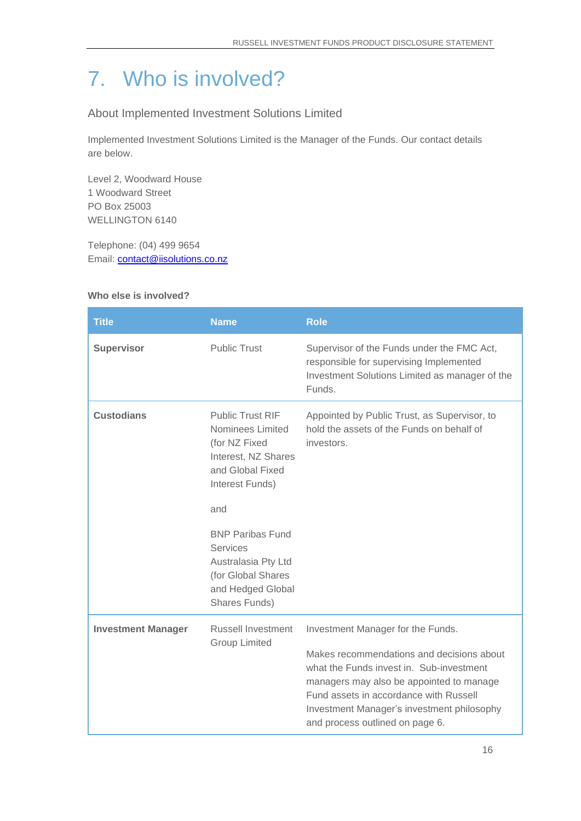# <span id="page-15-0"></span>7. Who is involved?

About Implemented Investment Solutions Limited

Implemented Investment Solutions Limited is the Manager of the Funds. Our contact details are below.

Level 2, Woodward House 1 Woodward Street PO Box 25003 WELLINGTON 6140

Telephone: (04) 499 9654 Email: **contact@iisolutions.co.nz** 

#### **Who else is involved?**

| <b>Title</b>              | <b>Name</b>                                                                                                                | <b>Role</b>                                                                                                                                                                                                                                                  |
|---------------------------|----------------------------------------------------------------------------------------------------------------------------|--------------------------------------------------------------------------------------------------------------------------------------------------------------------------------------------------------------------------------------------------------------|
| <b>Supervisor</b>         | <b>Public Trust</b>                                                                                                        | Supervisor of the Funds under the FMC Act,<br>responsible for supervising Implemented<br>Investment Solutions Limited as manager of the<br>Funds.                                                                                                            |
| <b>Custodians</b>         | <b>Public Trust RIF</b><br>Nominees Limited<br>(for NZ Fixed<br>Interest, NZ Shares<br>and Global Fixed<br>Interest Funds) | Appointed by Public Trust, as Supervisor, to<br>hold the assets of the Funds on behalf of<br>investors.                                                                                                                                                      |
|                           | and                                                                                                                        |                                                                                                                                                                                                                                                              |
|                           | <b>BNP Paribas Fund</b><br>Services<br>Australasia Pty Ltd<br>(for Global Shares<br>and Hedged Global<br>Shares Funds)     |                                                                                                                                                                                                                                                              |
| <b>Investment Manager</b> | <b>Russell Investment</b>                                                                                                  | Investment Manager for the Funds.                                                                                                                                                                                                                            |
|                           | <b>Group Limited</b>                                                                                                       | Makes recommendations and decisions about<br>what the Funds invest in. Sub-investment<br>managers may also be appointed to manage<br>Fund assets in accordance with Russell<br>Investment Manager's investment philosophy<br>and process outlined on page 6. |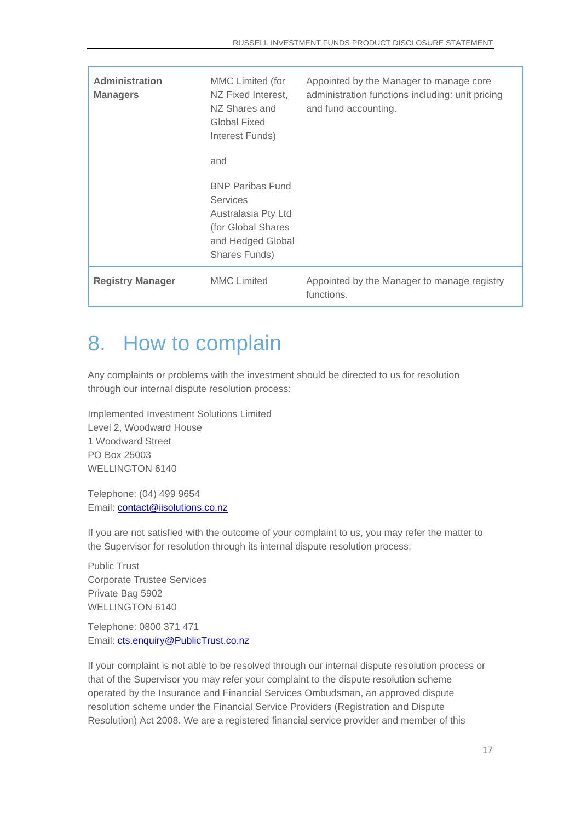| <b>Administration</b><br><b>Managers</b> | MMC Limited (for<br>NZ Fixed Interest,<br>NZ Shares and<br>Global Fixed<br>Interest Funds)<br>and                             | Appointed by the Manager to manage core<br>administration functions including: unit pricing<br>and fund accounting. |
|------------------------------------------|-------------------------------------------------------------------------------------------------------------------------------|---------------------------------------------------------------------------------------------------------------------|
|                                          | <b>BNP Paribas Fund</b><br><b>Services</b><br>Australasia Pty Ltd<br>(for Global Shares<br>and Hedged Global<br>Shares Funds) |                                                                                                                     |
| <b>Registry Manager</b>                  | <b>MMC</b> Limited                                                                                                            | Appointed by the Manager to manage registry<br>functions.                                                           |

# 8. How to complain

Any complaints or problems with the investment should be directed to us for resolution through our internal dispute resolution process:

Implemented Investment Solutions Limited Level 2, Woodward House 1 Woodward Street PO Box 25003 WELLINGTON 6140

Telephone: (04) 499 9654 Email: [contact@iisolutions.co.nz](mailto:contact@iisolutions.co.nz)

If you are not satisfied with the outcome of your complaint to us, you may refer the matter to the Supervisor for resolution through its internal dispute resolution process:

Public Trust Corporate Trustee Services Private Bag 5902 WELLINGTON 6140

Telephone: 0800 371 471 Email: [cts.enquiry@PublicTrust.co.nz](mailto:cts.enquiry@PublicTrust.co.nz)

If your complaint is not able to be resolved through our internal dispute resolution process or that of the Supervisor you may refer your complaint to the dispute resolution scheme operated by the Insurance and Financial Services Ombudsman, an approved dispute resolution scheme under the Financial Service Providers (Registration and Dispute Resolution) Act 2008. We are a registered financial service provider and member of this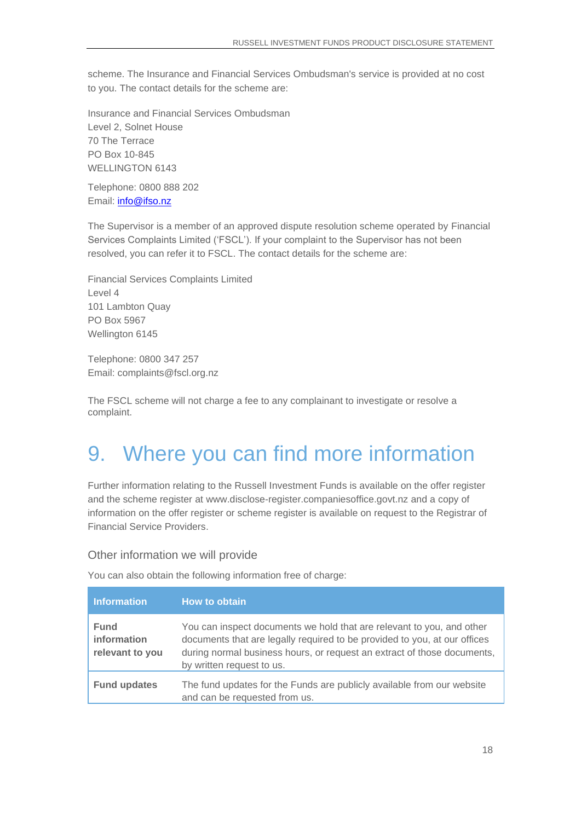scheme. The Insurance and Financial Services Ombudsman's service is provided at no cost to you. The contact details for the scheme are:

Insurance and Financial Services Ombudsman Level 2, Solnet House 70 The Terrace PO Box 10-845 WELLINGTON 6143

Telephone: 0800 888 202 Email: [info@ifso.nz](mailto:info@ifso.nz)

The Supervisor is a member of an approved dispute resolution scheme operated by Financial Services Complaints Limited ('FSCL'). If your complaint to the Supervisor has not been resolved, you can refer it to FSCL. The contact details for the scheme are:

Financial Services Complaints Limited Level 4 101 Lambton Quay PO Box 5967 Wellington 6145

Telephone: 0800 347 257 Email: complaints@fscl.org.nz

The FSCL scheme will not charge a fee to any complainant to investigate or resolve a complaint.

# 9. Where you can find more information

Further information relating to the Russell Investment Funds is available on the offer register and the scheme register at [www.disclose-register.companiesoffice.govt.nz](http://www.disclose-register.companiesoffice.govt.nz/) and a copy of information on the offer register or scheme register is available on request to the Registrar of Financial Service Providers.

Other information we will provide

You can also obtain the following information free of charge:

| <b>Information</b>                            | How to obtain                                                                                                                                                                                                                                              |
|-----------------------------------------------|------------------------------------------------------------------------------------------------------------------------------------------------------------------------------------------------------------------------------------------------------------|
| <b>Fund</b><br>information<br>relevant to you | You can inspect documents we hold that are relevant to you, and other<br>documents that are legally required to be provided to you, at our offices<br>during normal business hours, or request an extract of those documents,<br>by written request to us. |
| <b>Fund updates</b>                           | The fund updates for the Funds are publicly available from our website<br>and can be requested from us.                                                                                                                                                    |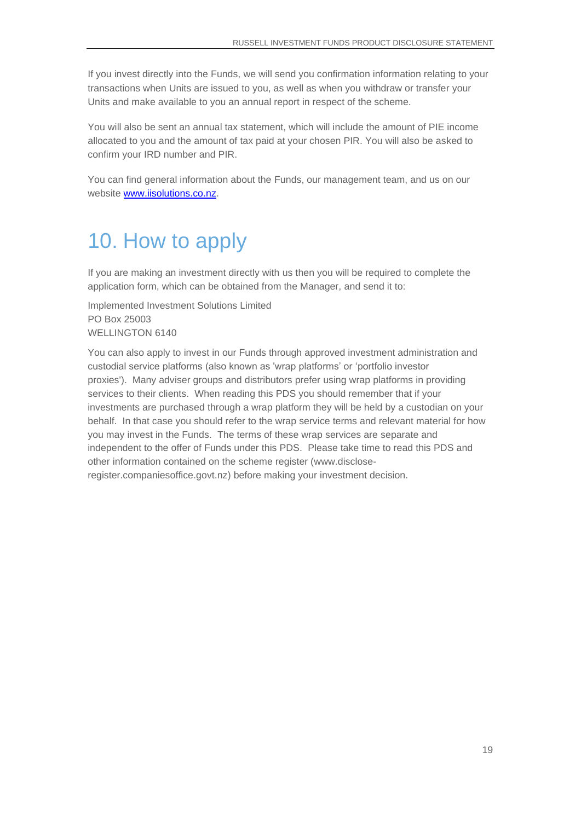If you invest directly into the Funds, we will send you confirmation information relating to your transactions when Units are issued to you, as well as when you withdraw or transfer your Units and make available to you an annual report in respect of the scheme.

You will also be sent an annual tax statement, which will include the amount of PIE income allocated to you and the amount of tax paid at your chosen PIR. You will also be asked to confirm your IRD number and PIR.

You can find general information about the Funds, our management team, and us on our website [www.iisolutions.co.nz.](http://www.iisolutions.co.nz/)

### <span id="page-18-0"></span>10. How to apply

If you are making an investment directly with us then you will be required to complete the application form, which can be obtained from the Manager, and send it to:

Implemented Investment Solutions Limited PO Box 25003 WELLINGTON 6140

You can also apply to invest in our Funds through approved investment administration and custodial service platforms (also known as 'wrap platforms' or 'portfolio investor proxies'). Many adviser groups and distributors prefer using wrap platforms in providing services to their clients. When reading this PDS you should remember that if your investments are purchased through a wrap platform they will be held by a custodian on your behalf. In that case you should refer to the wrap service terms and relevant material for how you may invest in the Funds. The terms of these wrap services are separate and independent to the offer of Funds under this PDS. Please take time to read this PDS and other information contained on the scheme register [\(www.disclose](http://www.disclose-register.companiesoffice.govt.nz/)[register.companiesoffice.govt.nz\)](http://www.disclose-register.companiesoffice.govt.nz/) before making your investment decision.